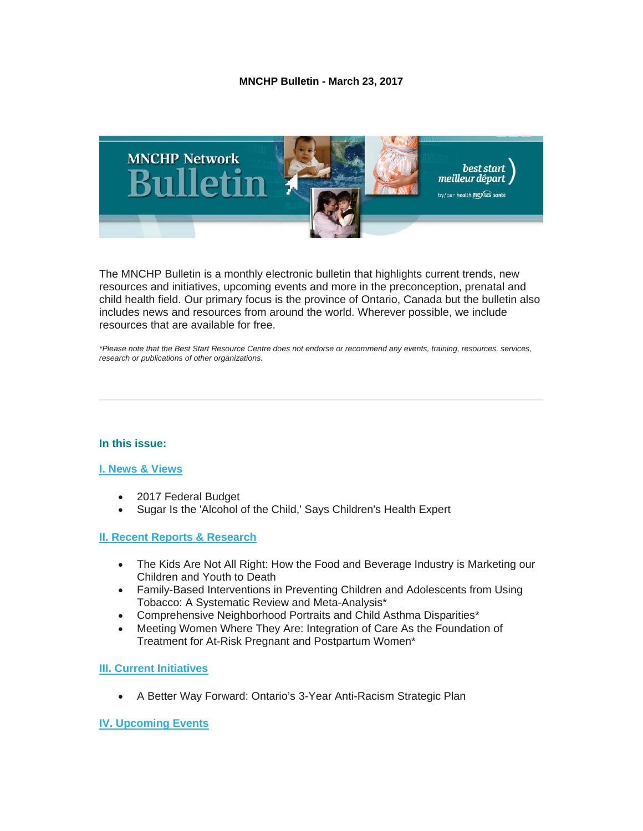### **MNCHP Bulletin - March 23, 2017**



The MNCHP Bulletin is a monthly electronic bulletin that highlights current trends, new resources and initiatives, upcoming events and more in the preconception, prenatal and child health field. Our primary focus is the province of Ontario, Canada but the bulletin also includes news and resources from around the world. Wherever possible, we include resources that are available for free.

*\*Please note that the Best Start Resource Centre does not endorse or recommend any events, training, resources, services, research or publications of other organizations.*

# **In this issue:**

### **[I. News & Views](#page-1-0)**

- 2017 Federal Budget
- Sugar Is the 'Alcohol of the Child,' Says Children's Health Expert

# **[II. Recent Reports & Research](#page-2-0)**

- The Kids Are Not All Right: How the Food and Beverage Industry is Marketing our Children and Youth to Death
- Family-Based Interventions in Preventing Children and Adolescents from Using Tobacco: A Systematic Review and Meta-Analysis\*
- Comprehensive Neighborhood Portraits and Child Asthma Disparities\*
- Meeting Women Where They Are: Integration of Care As the Foundation of Treatment for At-Risk Pregnant and Postpartum Women\*

#### **[III. Current Initiatives](#page-5-0)**

• A Better Way Forward: Ontario's 3-Year Anti-Racism Strategic Plan

# **[IV. Upcoming Events](#page-6-0)**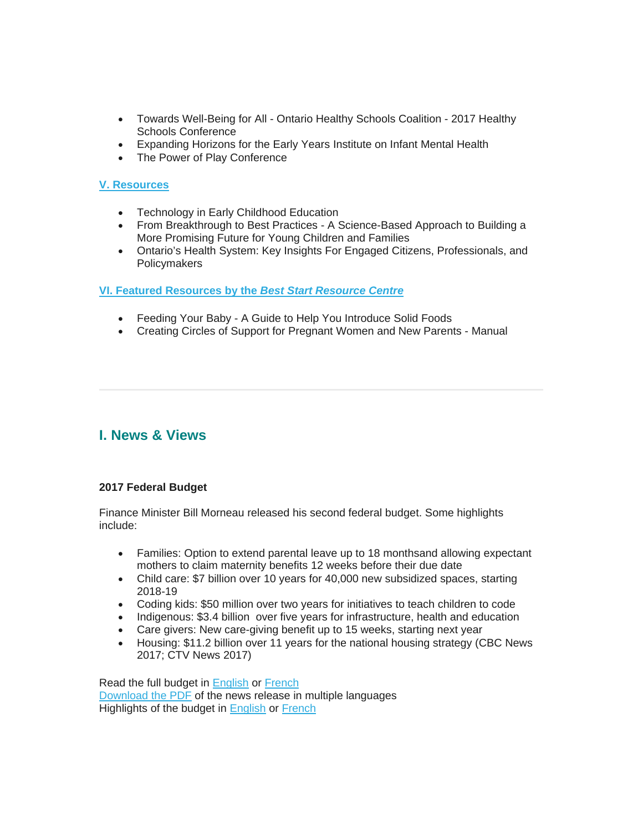- Towards Well-Being for All Ontario Healthy Schools Coalition 2017 Healthy Schools Conference
- Expanding Horizons for the Early Years Institute on Infant Mental Health
- The Power of Play Conference

# **[V. Resources](#page-6-1)**

- Technology in Early Childhood Education
- From Breakthrough to Best Practices A Science-Based Approach to Building a More Promising Future for Young Children and Families
- Ontario's Health System: Key Insights For Engaged Citizens, Professionals, and Policymakers

# **[VI. Featured Resources by the](#page-7-0)** *Best Start Resource Centre*

- Feeding Your Baby A Guide to Help You Introduce Solid Foods
- Creating Circles of Support for Pregnant Women and New Parents Manual

# <span id="page-1-0"></span>**I. News & Views**

# **2017 Federal Budget**

Finance Minister Bill Morneau released his second federal budget. Some highlights include:

- Families: Option to extend parental leave up to 18 monthsand allowing expectant mothers to claim maternity benefits 12 weeks before their due date
- Child care: \$7 billion over 10 years for 40,000 new subsidized spaces, starting 2018-19
- Coding kids: \$50 million over two years for initiatives to teach children to code
- Indigenous: \$3.4 billion over five years for infrastructure, health and education
- Care givers: New care-giving benefit up to 15 weeks, starting next year
- Housing: \$11.2 billion over 11 years for the national housing strategy (CBC News 2017; CTV News 2017)

Read the full budget in [English](http://www.budget.gc.ca/2017/docs/plan/toc-tdm-en.html) or [French](http://www.budget.gc.ca/2017/docs/plan/toc-tdm-fr.html) [Download the PDF](http://www.budget.gc.ca/2017/docs/nrc/2017-03-22-en.html) of the news release in multiple languages Highlights of the budget in **English** or **French**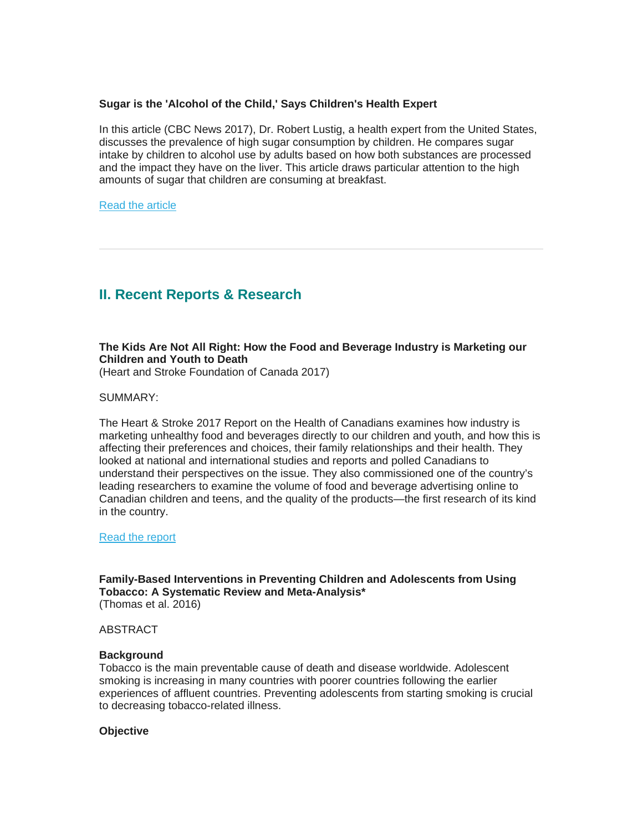### **Sugar is the 'Alcohol of the Child,' Says Children's Health Expert**

In this article (CBC News 2017), Dr. Robert Lustig, a health expert from the United States, discusses the prevalence of high sugar consumption by children. He compares sugar intake by children to alcohol use by adults based on how both substances are processed and the impact they have on the liver. This article draws particular attention to the high amounts of sugar that children are consuming at breakfast.

[Read the article](http://www.cbc.ca/news/canada/newfoundland-labrador/sugar-during-breakfast-1.3935855)

# <span id="page-2-0"></span>**II. Recent Reports & Research**

# **The Kids Are Not All Right: How the Food and Beverage Industry is Marketing our Children and Youth to Death**

(Heart and Stroke Foundation of Canada 2017)

SUMMARY:

The Heart & Stroke 2017 Report on the Health of Canadians examines how industry is marketing unhealthy food and beverages directly to our children and youth, and how this is affecting their preferences and choices, their family relationships and their health. They looked at national and international studies and reports and polled Canadians to understand their perspectives on the issue. They also commissioned one of the country's leading researchers to examine the volume of food and beverage advertising online to Canadian children and teens, and the quality of the products—the first research of its kind in the country.

[Read the report](http://www.heartandstroke.ca/-/media/pdf-files/canada/2017-heart-month/heartandstroke-reportonhealth2017.ashx)

**Family-Based Interventions in Preventing Children and Adolescents from Using Tobacco: A Systematic Review and Meta-Analysis\*** (Thomas et al. 2016)

ABSTRACT

#### **Background**

Tobacco is the main preventable cause of death and disease worldwide. Adolescent smoking is increasing in many countries with poorer countries following the earlier experiences of affluent countries. Preventing adolescents from starting smoking is crucial to decreasing tobacco-related illness.

**Objective**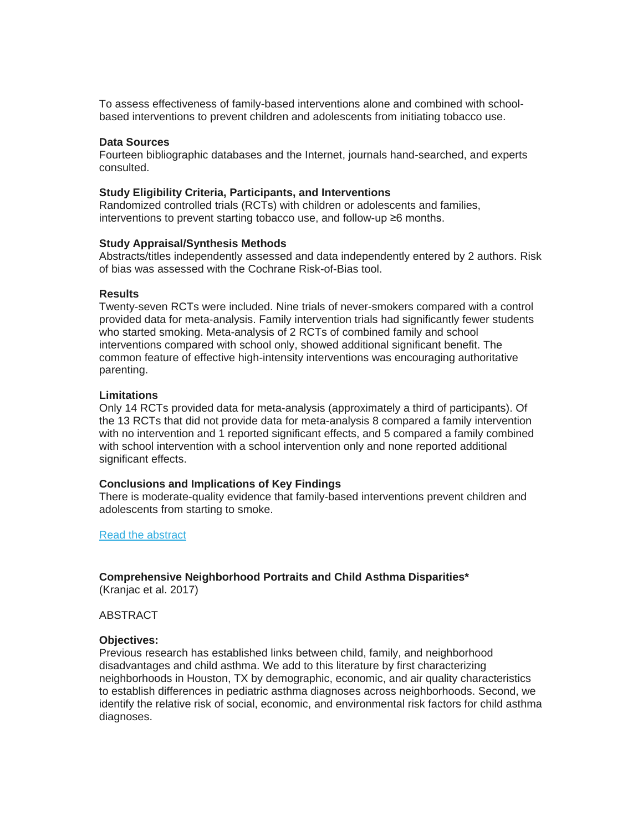To assess effectiveness of family-based interventions alone and combined with schoolbased interventions to prevent children and adolescents from initiating tobacco use.

#### **Data Sources**

Fourteen bibliographic databases and the Internet, journals hand-searched, and experts consulted.

#### **Study Eligibility Criteria, Participants, and Interventions**

Randomized controlled trials (RCTs) with children or adolescents and families, interventions to prevent starting tobacco use, and follow-up ≥6 months.

#### **Study Appraisal/Synthesis Methods**

Abstracts/titles independently assessed and data independently entered by 2 authors. Risk of bias was assessed with the Cochrane Risk-of-Bias tool.

#### **Results**

Twenty-seven RCTs were included. Nine trials of never-smokers compared with a control provided data for meta-analysis. Family intervention trials had significantly fewer students who started smoking. Meta-analysis of 2 RCTs of combined family and school interventions compared with school only, showed additional significant benefit. The common feature of effective high-intensity interventions was encouraging authoritative parenting.

#### **Limitations**

Only 14 RCTs provided data for meta-analysis (approximately a third of participants). Of the 13 RCTs that did not provide data for meta-analysis 8 compared a family intervention with no intervention and 1 reported significant effects, and 5 compared a family combined with school intervention with a school intervention only and none reported additional significant effects.

#### **Conclusions and Implications of Key Findings**

There is moderate-quality evidence that family-based interventions prevent children and adolescents from starting to smoke.

[Read the abstract](http://www.academicpedsjnl.net/article/S1876-2859(15)00379-4/abstract)

# **Comprehensive Neighborhood Portraits and Child Asthma Disparities\***

(Kranjac et al. 2017)

#### ABSTRACT

#### **Objectives:**

Previous research has established links between child, family, and neighborhood disadvantages and child asthma. We add to this literature by first characterizing neighborhoods in Houston, TX by demographic, economic, and air quality characteristics to establish differences in pediatric asthma diagnoses across neighborhoods. Second, we identify the relative risk of social, economic, and environmental risk factors for child asthma diagnoses.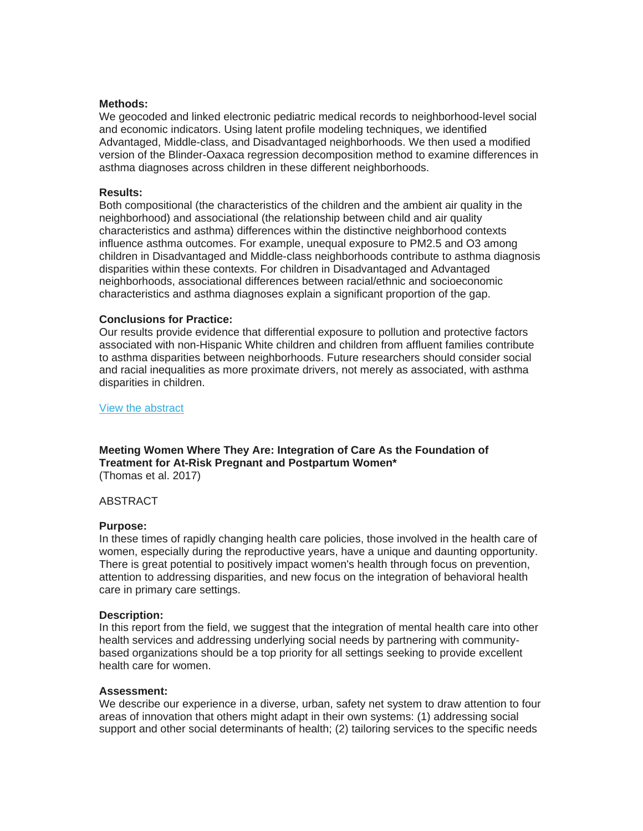#### **Methods:**

We geocoded and linked electronic pediatric medical records to neighborhood-level social and economic indicators. Using latent profile modeling techniques, we identified Advantaged, Middle-class, and Disadvantaged neighborhoods. We then used a modified version of the Blinder-Oaxaca regression decomposition method to examine differences in asthma diagnoses across children in these different neighborhoods.

#### **Results:**

Both compositional (the characteristics of the children and the ambient air quality in the neighborhood) and associational (the relationship between child and air quality characteristics and asthma) differences within the distinctive neighborhood contexts influence asthma outcomes. For example, unequal exposure to PM2.5 and O3 among children in Disadvantaged and Middle-class neighborhoods contribute to asthma diagnosis disparities within these contexts. For children in Disadvantaged and Advantaged neighborhoods, associational differences between racial/ethnic and socioeconomic characteristics and asthma diagnoses explain a significant proportion of the gap.

#### **Conclusions for Practice:**

Our results provide evidence that differential exposure to pollution and protective factors associated with non-Hispanic White children and children from affluent families contribute to asthma disparities between neighborhoods. Future researchers should consider social and racial inequalities as more proximate drivers, not merely as associated, with asthma disparities in children.

[View the abstract](http://link.springer.com/article/10.1007/s10995-017-2286-z)

**Meeting Women Where They Are: Integration of Care As the Foundation of Treatment for At-Risk Pregnant and Postpartum Women\*** (Thomas et al. 2017)

### ABSTRACT

#### **Purpose:**

In these times of rapidly changing health care policies, those involved in the health care of women, especially during the reproductive years, have a unique and daunting opportunity. There is great potential to positively impact women's health through focus on prevention, attention to addressing disparities, and new focus on the integration of behavioral health care in primary care settings.

#### **Description:**

In this report from the field, we suggest that the integration of mental health care into other health services and addressing underlying social needs by partnering with communitybased organizations should be a top priority for all settings seeking to provide excellent health care for women.

#### **Assessment:**

We describe our experience in a diverse, urban, safety net system to draw attention to four areas of innovation that others might adapt in their own systems: (1) addressing social support and other social determinants of health; (2) tailoring services to the specific needs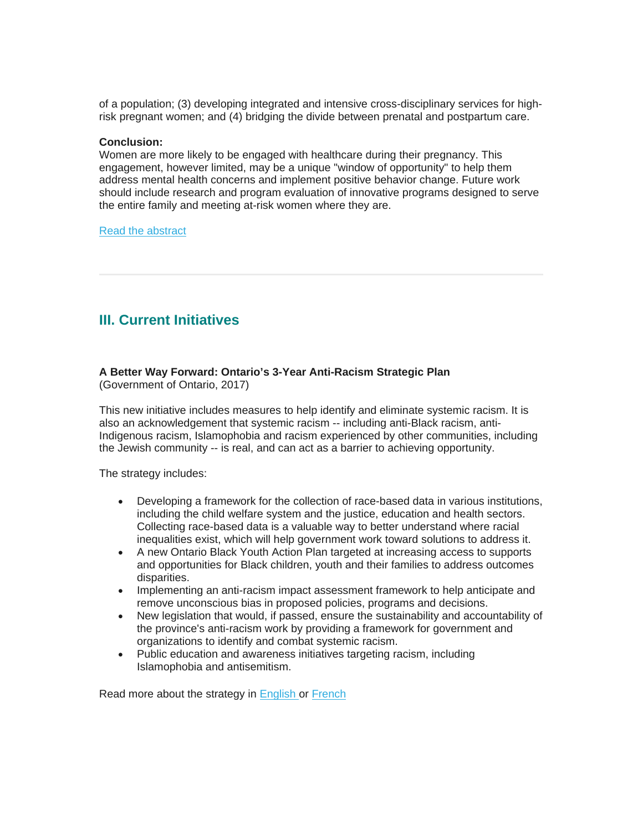of a population; (3) developing integrated and intensive cross-disciplinary services for highrisk pregnant women; and (4) bridging the divide between prenatal and postpartum care.

#### **Conclusion:**

Women are more likely to be engaged with healthcare during their pregnancy. This engagement, however limited, may be a unique "window of opportunity" to help them address mental health concerns and implement positive behavior change. Future work should include research and program evaluation of innovative programs designed to serve the entire family and meeting at-risk women where they are.

#### [Read the abstract](http://link.springer.com/article/10.1007%2Fs10995-016-2240-5)

# <span id="page-5-0"></span>**III. Current Initiatives**

#### **A Better Way Forward: Ontario's 3-Year Anti-Racism Strategic Plan** (Government of Ontario, 2017)

This new initiative includes measures to help identify and eliminate systemic racism. It is also an acknowledgement that systemic racism -- including anti-Black racism, anti-Indigenous racism, Islamophobia and racism experienced by other communities, including the Jewish community -- is real, and can act as a barrier to achieving opportunity.

The strategy includes:

- Developing a framework for the collection of race-based data in various institutions, including the child welfare system and the justice, education and health sectors. Collecting race-based data is a valuable way to better understand where racial inequalities exist, which will help government work toward solutions to address it.
- A new Ontario Black Youth Action Plan targeted at increasing access to supports and opportunities for Black children, youth and their families to address outcomes disparities.
- Implementing an anti-racism impact assessment framework to help anticipate and remove unconscious bias in proposed policies, programs and decisions.
- New legislation that would, if passed, ensure the sustainability and accountability of the province's anti-racism work by providing a framework for government and organizations to identify and combat systemic racism.
- Public education and awareness initiatives targeting racism, including Islamophobia and antisemitism.

Read more about the strategy in [English o](https://www.ontario.ca/page/anti-racism-directorate)r [French](https://www.ontario.ca/fr/page/une-meilleure-facon-davancer-plan-strategique-triennal-de-lontario-contre-le-racism)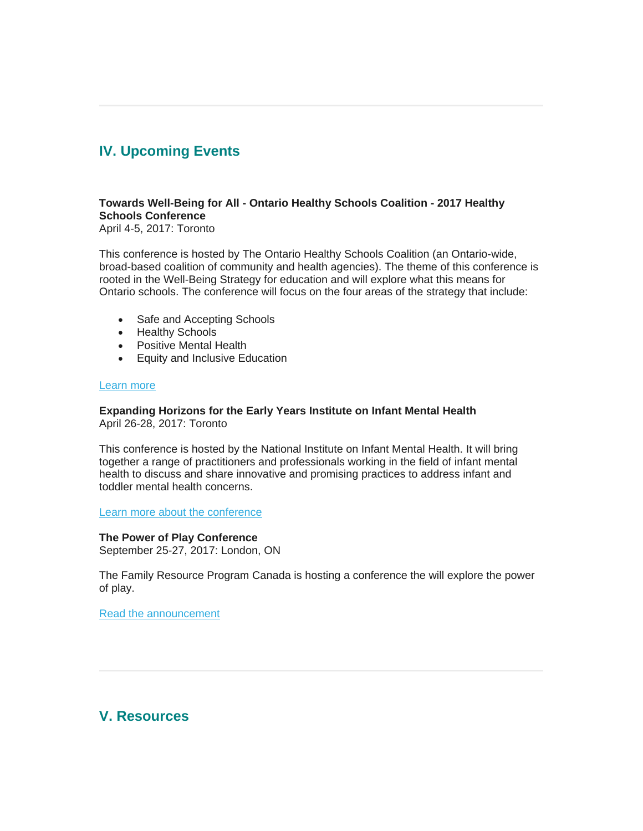# <span id="page-6-0"></span>**IV. Upcoming Events**

# **Towards Well-Being for All - Ontario Healthy Schools Coalition - 2017 Healthy Schools Conference**

April 4-5, 2017: Toronto

This conference is hosted by The Ontario Healthy Schools Coalition (an Ontario-wide, broad-based coalition of community and health agencies). The theme of this conference is rooted in the Well-Being Strategy for education and will explore what this means for Ontario schools. The conference will focus on the four areas of the strategy that include:

- Safe and Accepting Schools
- Healthy Schools
- Positive Mental Health
- Equity and Inclusive Education

### [Learn more](https://ontariohealthyschools.com/)

#### **Expanding Horizons for the Early Years Institute on Infant Mental Health** April 26-28, 2017: Toronto

This conference is hosted by the National Institute on Infant Mental Health. It will bring together a range of practitioners and professionals working in the field of infant mental health to discuss and share innovative and promising practices to address infant and toddler mental health concerns.

[Learn more about the conference](http://www.imhpromotion.ca/TrainingEvents/ExpandingHorizonsfortheEarlyYears2017.aspx)

**The Power of Play Conference** September 25-27, 2017: London, ON

The Family Resource Program Canada is hosting a conference the will explore the power of play.

[Read the announcement](https://gallery.mailchimp.com/6831b71a588234cc9ab12bd93/files/0adf48ab-370f-41bd-8ea2-113b2b113958/2017_Save_the_Date_EN_003_.pdf)

<span id="page-6-1"></span>**V. Resources**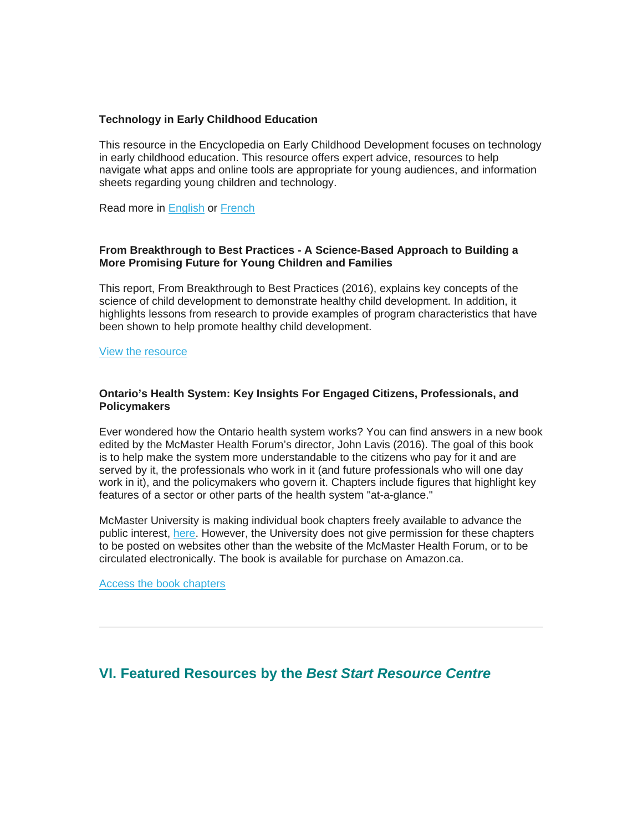#### **Technology in Early Childhood Education**

This resource in the Encyclopedia on Early Childhood Development focuses on technology in early childhood education. This resource offers expert advice, resources to help navigate what apps and online tools are appropriate for young audiences, and information sheets regarding young children and technology.

Read more in [English](http://track.mediasend.ca/v/443/fd90aa72a2883755f041fade766c4c02c2c7ba882505f6d7?utm_source=All&utm_campaign=Technologie+en+%C3%A9ducation+de+la+petite+enfance&utm_medium=email) or [French](http://track.mediasend.ca/v/443/5caa7139701829765a5dec5331aee47cc2c7ba882505f6d7?utm_source=All&utm_campaign=Technology+in+early+childhood+education&utm_medium=email)

### **From Breakthrough to Best Practices - A Science-Based Approach to Building a More Promising Future for Young Children and Families**

This report, From Breakthrough to Best Practices (2016), explains key concepts of the science of child development to demonstrate healthy child development. In addition, it highlights lessons from research to provide examples of program characteristics that have been shown to help promote healthy child development.

[View the resource](http://developingchild.harvard.edu/resources/from-best-practices-to-breakthrough-impacts/)

### **Ontario's Health System: Key Insights For Engaged Citizens, Professionals, and Policymakers**

Ever wondered how the Ontario health system works? You can find answers in a new book edited by the McMaster Health Forum's director, John Lavis (2016). The goal of this book is to help make the system more understandable to the citizens who pay for it and are served by it, the professionals who work in it (and future professionals who will one day work in it), and the policymakers who govern it. Chapters include figures that highlight key features of a sector or other parts of the health system "at-a-glance."

McMaster University is making individual book chapters freely available to advance the public interest, [here.](https://www.mcmasterhealthforum.org/ontario) However, the University does not give permission for these chapters to be posted on websites other than the website of the McMaster Health Forum, or to be circulated electronically. The book is available for purchase on Amazon.ca.

[Access the book chapters](https://www.mcmasterhealthforum.org/ontario)

# <span id="page-7-0"></span>**VI. Featured Resources by the** *Best Start Resource Centre*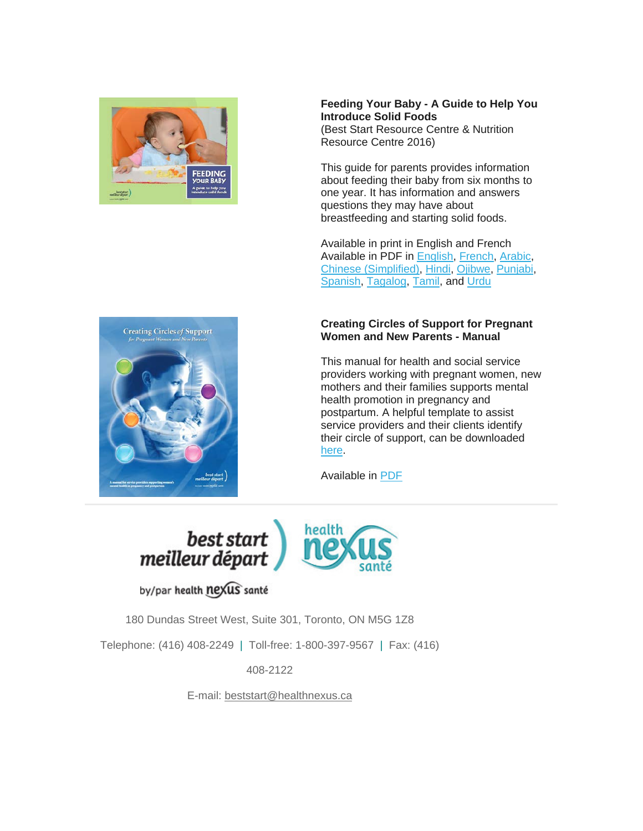

**Feeding Your Baby - A Guide to Help You Introduce Solid Foods**  (Best Start Resource Centre & Nutrition Resource Centre 2016)

This guide for parents provides information about feeding their baby from six months to one year. It has information and answers questions they may have about breastfeeding and starting solid foods.

Available in print in English and French Available in PDF in [English,](http://www.beststart.org/resources/nutrition/pdf/BSRC_FeedingYourBaby_2015.pdf) [French,](http://www.meilleurdepart.org/resources/nutrition/pdf/CRMD_NourrirVotreBebe_2015.pdf) [Arabic,](http://www.beststart.org/resources/nutrition/feedingyourbaby/D12-AR_feeding_baby_Arabic_2016.pdf) [Chinese \(Simplified\),](http://www.beststart.org/resources/nutrition/feedingyourbaby/D12-ZH_feeding_baby_Chinese_2016.pdf) [Hindi,](http://www.beststart.org/resources/nutrition/feedingyourbaby/D12-HI_feeding_baby_Hindi_2016.pdf) [Ojibwe,](http://www.beststart.org/resources/nutrition/feedingyourbaby/D12-OJ_feedingbaby_Ojibwe.pdf) [Punjabi,](http://www.beststart.org/resources/nutrition/feedingyourbaby/D12-PU_feeding_baby_Punjabi_2016.pdf) [Spanish,](http://www.beststart.org/resources/nutrition/feedingyourbaby/D12-SP_feeding_baby_Spanish_2016.pdf) [Tagalog,](http://www.beststart.org/resources/nutrition/feedingyourbaby/D12-TG_feeding_baby_Tagalog_2016.pdf) [Tamil,](http://www.beststart.org/resources/nutrition/feedingyourbaby/D12-TA_feeding_baby_Tamil_2016.pdf) and [Urdu](http://www.beststart.org/resources/nutrition/feedingyourbaby/D12-UR_feeding_baby_Urdu_2016.pdf)

# **Creating Circles of Support for Pregnant Women and New Parents - Manual**

This manual for health and social service providers working with pregnant women, new mothers and their families supports mental health promotion in pregnancy and postpartum. A helpful template to assist service providers and their clients identify their circle of support, can be downloaded [here.](http://www.beststart.org/resources/ppmd/pdf/Circle%20of%20Support%20Contacts%20template.pdf)

Available in [PDF](http://www.beststart.org/resources/ppmd/circles_of_support_manual_2013.pdf)



# by/par health nexus santé

180 Dundas Street West, Suite 301, Toronto, ON M5G 1Z8

Telephone: (416) 408-2249 | Toll-free: 1-800-397-9567 | Fax: (416)

408-2122

E-mail: [beststart@healthnexus.ca](mailto:beststart@healthnexus.ca?subject=Contact%20Us)

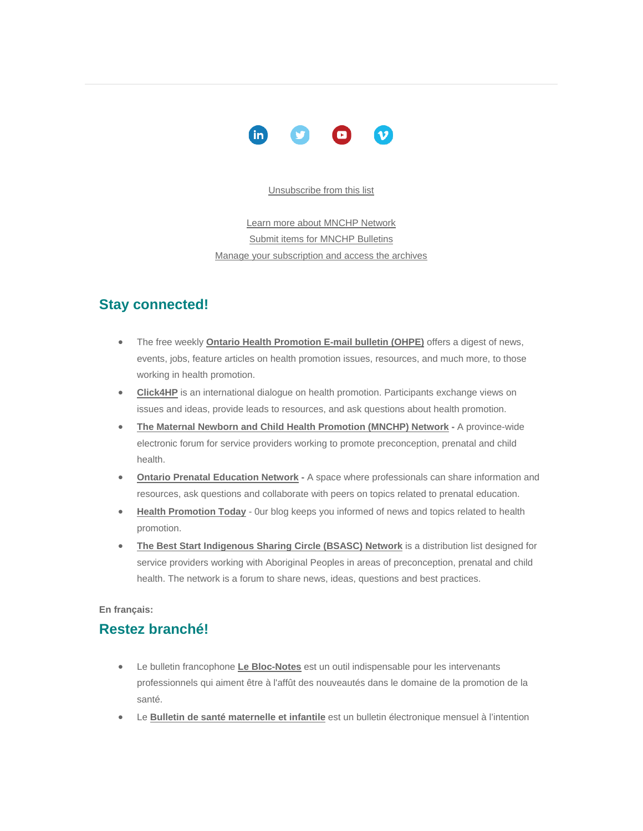

#### [Unsubscribe from this list](mailto:mnchp@healthnexus.ca?subject=Unsubscribe)

[Learn more about MNCHP Network](http://lists.beststart.org/listinfo.cgi/mnchp-beststart.org) [Submit items for MNCHP Bulletins](mailto:mnchp@healthnexus.ca) [Manage your subscription and access the archives](http://lists.beststart.org/listinfo.cgi/mnchp-beststart.org)

# **Stay connected!**

- The free weekly **[Ontario Health Promotion E-mail bulletin \(OHPE\)](http://www.ohpe.ca/)** offers a digest of news, events, jobs, feature articles on health promotion issues, resources, and much more, to those working in health promotion.
- **[Click4HP](https://listserv.yorku.ca/archives/click4hp.html)** is an international dialogue on health promotion. Participants exchange views on issues and ideas, provide leads to resources, and ask questions about health promotion.
- **[The Maternal Newborn and Child Health Promotion \(MNCHP\) Network](http://lists.beststart.org/listinfo.cgi/mnchp-beststart.org) -** A province-wide electronic forum for service providers working to promote preconception, prenatal and child health.
- **[Ontario Prenatal Education Network](http://fluidsurveys.com/surveys/ohpe/subscriptionsopen2015-2016/) -** A space where professionals can share information and resources, ask questions and collaborate with peers on topics related to prenatal education.
- **[Health Promotion Today](http://en.healthnexus.ca/)** 0ur blog keeps you informed of news and topics related to health promotion.
- **[The Best Start Indigenous Sharing Circle \(BSASC\) Network](http://lists.beststart.org/listinfo.cgi/bsasc-beststart.org)** is a distribution list designed for service providers working with Aboriginal Peoples in areas of preconception, prenatal and child health. The network is a forum to share news, ideas, questions and best practices.

#### **En français:**

# **Restez branché!**

- Le bulletin francophone **[Le Bloc-Notes](http://www.leblocnotes.ca/)** est un outil indispensable pour les intervenants professionnels qui aiment être à l'affût des nouveautés dans le domaine de la promotion de la santé.
- Le **[Bulletin de santé maternelle et infantile](http://fr.meilleurdepart.org/services/echange_d_information/bulletin-de-sant%C3%A9-maternelle-et-infantile)** est un bulletin électronique mensuel à l'intention